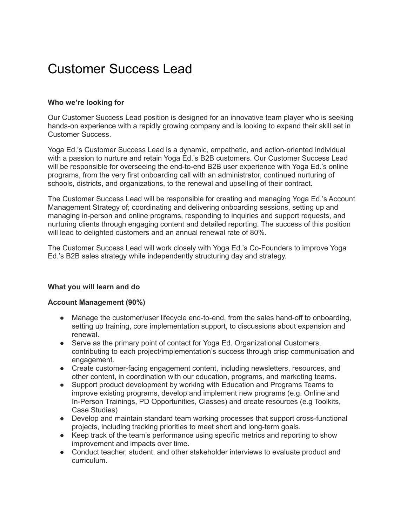# Customer Success Lead

# **Who we're looking for**

Our Customer Success Lead position is designed for an innovative team player who is seeking hands-on experience with a rapidly growing company and is looking to expand their skill set in Customer Success.

Yoga Ed.'s Customer Success Lead is a dynamic, empathetic, and action-oriented individual with a passion to nurture and retain Yoga Ed.'s B2B customers. Our Customer Success Lead will be responsible for overseeing the end-to-end B2B user experience with Yoga Ed.'s online programs, from the very first onboarding call with an administrator, continued nurturing of schools, districts, and organizations, to the renewal and upselling of their contract.

The Customer Success Lead will be responsible for creating and managing Yoga Ed.'s Account Management Strategy of; coordinating and delivering onboarding sessions, setting up and managing in-person and online programs, responding to inquiries and support requests, and nurturing clients through engaging content and detailed reporting. The success of this position will lead to delighted customers and an annual renewal rate of 80%.

The Customer Success Lead will work closely with Yoga Ed.'s Co-Founders to improve Yoga Ed.'s B2B sales strategy while independently structuring day and strategy.

## **What you will learn and do**

#### **Account Management (90%)**

- Manage the customer/user lifecycle end-to-end, from the sales hand-off to onboarding, setting up training, core implementation support, to discussions about expansion and renewal.
- Serve as the primary point of contact for Yoga Ed. Organizational Customers, contributing to each project/implementation's success through crisp communication and engagement.
- Create customer-facing engagement content, including newsletters, resources, and other content, in coordination with our education, programs, and marketing teams.
- Support product development by working with Education and Programs Teams to improve existing programs, develop and implement new programs (e.g. Online and In-Person Trainings, PD Opportunities, Classes) and create resources (e.g Toolkits, Case Studies)
- Develop and maintain standard team working processes that support cross-functional projects, including tracking priorities to meet short and long-term goals.
- Keep track of the team's performance using specific metrics and reporting to show improvement and impacts over time.
- Conduct teacher, student, and other stakeholder interviews to evaluate product and curriculum.